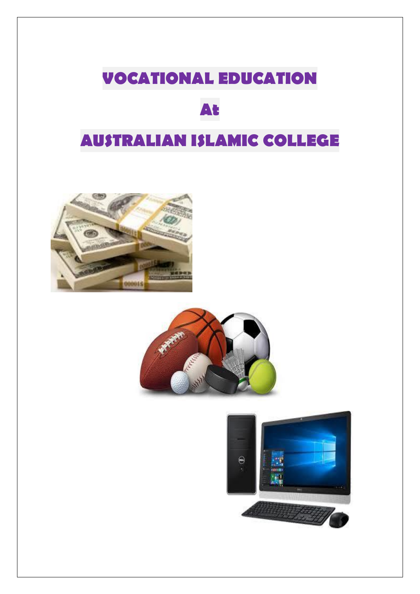## **VOCATIONAL EDUCATION**

## **At**

## **AUSTRALIAN ISLAMIC COLLEGE**





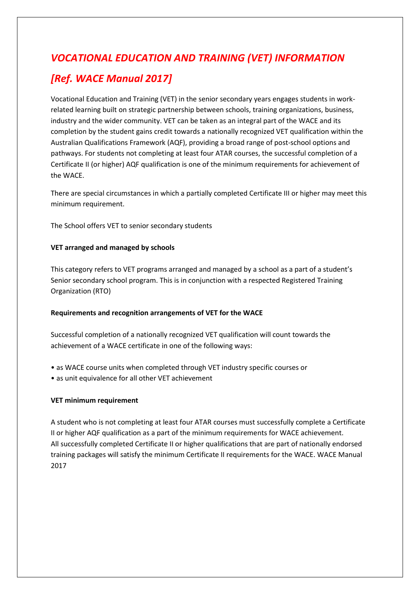# *VOCATIONAL EDUCATION AND TRAINING (VET) INFORMATION*

### *[Ref. WACE Manual 2017]*

Vocational Education and Training (VET) in the senior secondary years engages students in workrelated learning built on strategic partnership between schools, training organizations, business, industry and the wider community. VET can be taken as an integral part of the WACE and its completion by the student gains credit towards a nationally recognized VET qualification within the Australian Qualifications Framework (AQF), providing a broad range of post-school options and pathways. For students not completing at least four ATAR courses, the successful completion of a Certificate II (or higher) AQF qualification is one of the minimum requirements for achievement of the WACE.

There are special circumstances in which a partially completed Certificate III or higher may meet this minimum requirement.

The School offers VET to senior secondary students

#### **VET arranged and managed by schools**

This category refers to VET programs arranged and managed by a school as a part of a student's Senior secondary school program. This is in conjunction with a respected Registered Training Organization (RTO)

#### **Requirements and recognition arrangements of VET for the WACE**

Successful completion of a nationally recognized VET qualification will count towards the achievement of a WACE certificate in one of the following ways:

- as WACE course units when completed through VET industry specific courses or
- as unit equivalence for all other VET achievement

#### **VET minimum requirement**

A student who is not completing at least four ATAR courses must successfully complete a Certificate II or higher AQF qualification as a part of the minimum requirements for WACE achievement. All successfully completed Certificate II or higher qualifications that are part of nationally endorsed training packages will satisfy the minimum Certificate II requirements for the WACE. WACE Manual 2017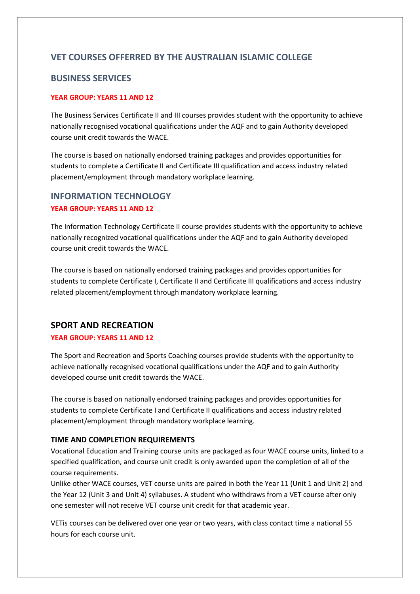#### **VET COURSES OFFERRED BY THE AUSTRALIAN ISLAMIC COLLEGE**

#### **BUSINESS SERVICES**

#### **YEAR GROUP: YEARS 11 AND 12**

The Business Services Certificate II and III courses provides student with the opportunity to achieve nationally recognised vocational qualifications under the AQF and to gain Authority developed course unit credit towards the WACE.

The course is based on nationally endorsed training packages and provides opportunities for students to complete a Certificate II and Certificate III qualification and access industry related placement/employment through mandatory workplace learning.

#### **INFORMATION TECHNOLOGY YEAR GROUP: YEARS 11 AND 12**

The Information Technology Certificate II course provides students with the opportunity to achieve nationally recognized vocational qualifications under the AQF and to gain Authority developed course unit credit towards the WACE.

The course is based on nationally endorsed training packages and provides opportunities for students to complete Certificate I, Certificate II and Certificate III qualifications and access industry related placement/employment through mandatory workplace learning.

#### **SPORT AND RECREATION**

#### **YEAR GROUP: YEARS 11 AND 12**

The Sport and Recreation and Sports Coaching courses provide students with the opportunity to achieve nationally recognised vocational qualifications under the AQF and to gain Authority developed course unit credit towards the WACE.

The course is based on nationally endorsed training packages and provides opportunities for students to complete Certificate I and Certificate II qualifications and access industry related placement/employment through mandatory workplace learning.

#### **TIME AND COMPLETION REQUIREMENTS**

Vocational Education and Training course units are packaged as four WACE course units, linked to a specified qualification, and course unit credit is only awarded upon the completion of all of the course requirements.

Unlike other WACE courses, VET course units are paired in both the Year 11 (Unit 1 and Unit 2) and the Year 12 (Unit 3 and Unit 4) syllabuses. A student who withdraws from a VET course after only one semester will not receive VET course unit credit for that academic year.

VETis courses can be delivered over one year or two years, with class contact time a national 55 hours for each course unit.